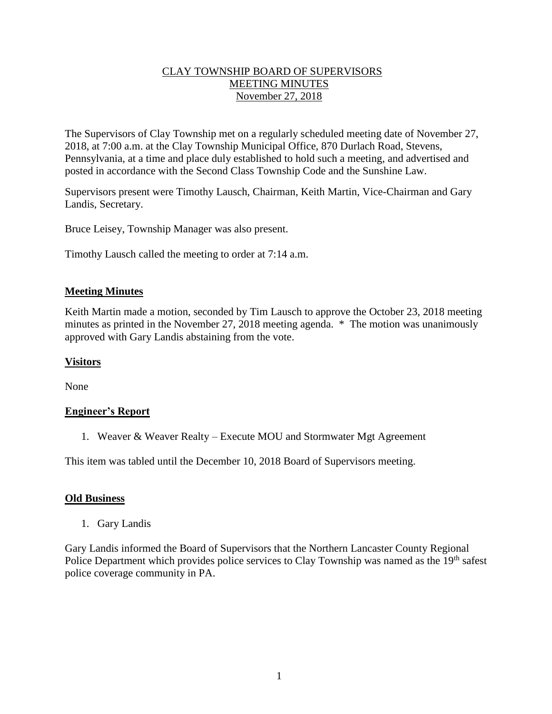## CLAY TOWNSHIP BOARD OF SUPERVISORS MEETING MINUTES November 27, 2018

The Supervisors of Clay Township met on a regularly scheduled meeting date of November 27, 2018, at 7:00 a.m. at the Clay Township Municipal Office, 870 Durlach Road, Stevens, Pennsylvania, at a time and place duly established to hold such a meeting, and advertised and posted in accordance with the Second Class Township Code and the Sunshine Law.

Supervisors present were Timothy Lausch, Chairman, Keith Martin, Vice-Chairman and Gary Landis, Secretary.

Bruce Leisey, Township Manager was also present.

Timothy Lausch called the meeting to order at 7:14 a.m.

## **Meeting Minutes**

Keith Martin made a motion, seconded by Tim Lausch to approve the October 23, 2018 meeting minutes as printed in the November 27, 2018 meeting agenda. \* The motion was unanimously approved with Gary Landis abstaining from the vote.

#### **Visitors**

None

#### **Engineer's Report**

1. Weaver & Weaver Realty – Execute MOU and Stormwater Mgt Agreement

This item was tabled until the December 10, 2018 Board of Supervisors meeting.

#### **Old Business**

1. Gary Landis

Gary Landis informed the Board of Supervisors that the Northern Lancaster County Regional Police Department which provides police services to Clay Township was named as the 19<sup>th</sup> safest police coverage community in PA.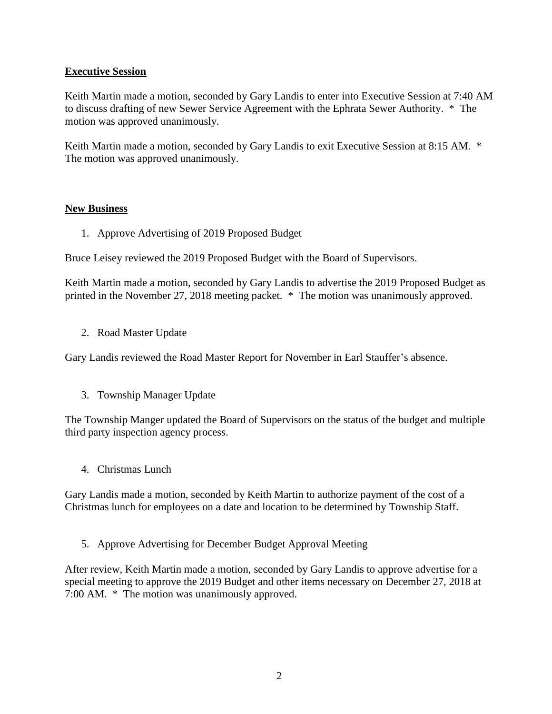## **Executive Session**

Keith Martin made a motion, seconded by Gary Landis to enter into Executive Session at 7:40 AM to discuss drafting of new Sewer Service Agreement with the Ephrata Sewer Authority. \* The motion was approved unanimously.

Keith Martin made a motion, seconded by Gary Landis to exit Executive Session at 8:15 AM. \* The motion was approved unanimously.

## **New Business**

1. Approve Advertising of 2019 Proposed Budget

Bruce Leisey reviewed the 2019 Proposed Budget with the Board of Supervisors.

Keith Martin made a motion, seconded by Gary Landis to advertise the 2019 Proposed Budget as printed in the November 27, 2018 meeting packet. \* The motion was unanimously approved.

2. Road Master Update

Gary Landis reviewed the Road Master Report for November in Earl Stauffer's absence.

3. Township Manager Update

The Township Manger updated the Board of Supervisors on the status of the budget and multiple third party inspection agency process.

4. Christmas Lunch

Gary Landis made a motion, seconded by Keith Martin to authorize payment of the cost of a Christmas lunch for employees on a date and location to be determined by Township Staff.

5. Approve Advertising for December Budget Approval Meeting

After review, Keith Martin made a motion, seconded by Gary Landis to approve advertise for a special meeting to approve the 2019 Budget and other items necessary on December 27, 2018 at 7:00 AM. \* The motion was unanimously approved.